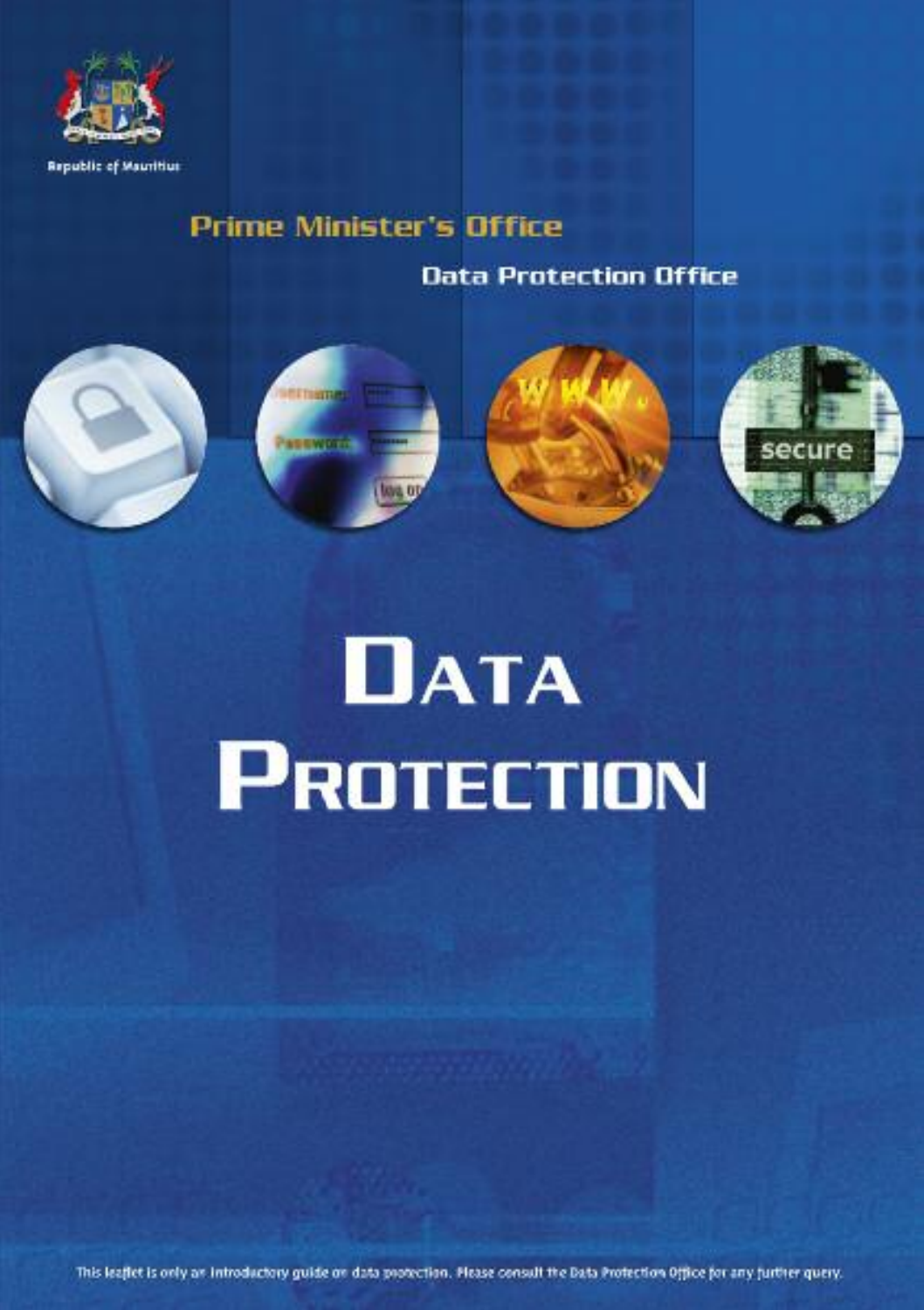

# **Prime Minister's Office**

**Data Protection Office** 



# **DATA PROTECTION**

This leafiet is only as introductory guide on data protection. Please consult the Bata Protection Office for any jurther query.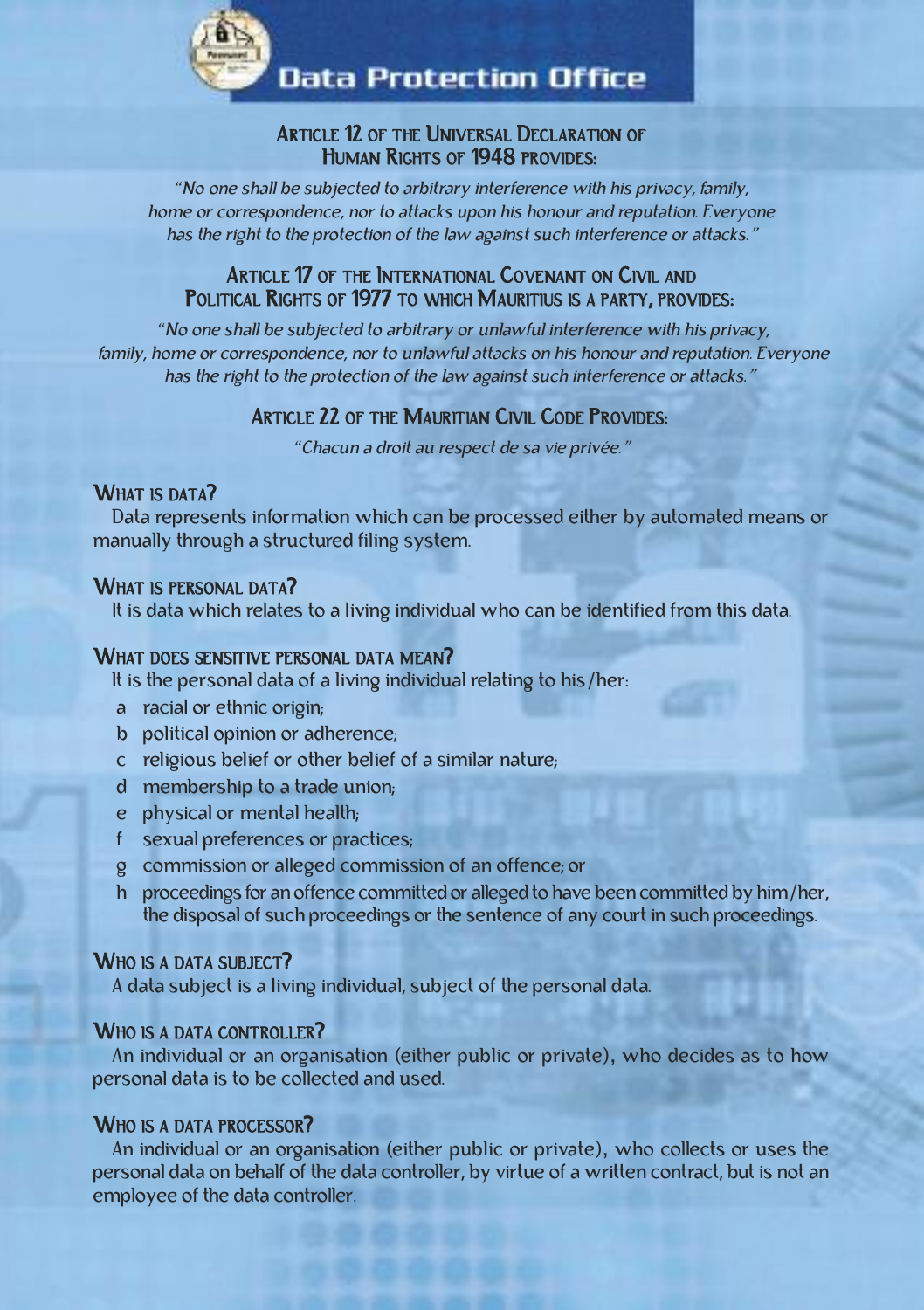

**Data Protection Office** 

# ARTICLE 12 OF THE UNIVERSAL DECLARATION OF HUMAN RIGHTS OF 1948 PROVIDES:

*"*no one shall be subjected to arbitrary interference with his privacy, family, home or correspondence, nor to attacks upon his honour and reputation. Everyone has the right to the protection of the law against such interference or attacks.*"*

# ARTICLE 17 OF THE INTERNATIONAL COVENANT ON CIVIL AND POLITICAL RIGHTS OF 1977 TO WHICH MAURITIUS IS A PARTY, PROVIDES:

*"*no one shall be subjected to arbitrary or unlawful interference with his privacy, family, home or correspondence, nor to unlawful attacks on his honour and reputation. Everyone has the right to the protection of the law against such interference or attacks.*"*

# ARTICLE 22 OF THE MAURITIAN CIVIL CODE PROVIDES:

*"*chacun <sup>a</sup> droit au respect de sa vie privée.*"*

# WHAT IS DATA?

Data represents information which can be processed either by automated means or manually through a structured filing system.

#### WHAT IS PERSONAL DATA?

it is data which relates to a living individual who can be identified from this data.

#### WHAT DOES SENSITIVE PERSONAL DATA MEAN?

it is the personal data of a living individual relating to his/her:

- a racial or ethnic origin;
- b political opinion or adherence;
- c religious belief or other belief of a similar nature;
- d membership to a trade union;
- e physical or mental health;
- f sexual preferences or practices;
- g commission or alleged commission of an offence; or
- h proceedings for an offence committed or alleged to have been committed by him/her, the disposal of such proceedings or the sentence of any court in such proceedings.

# WHO IS A DATA SUBJECT?

A data subject is a living individual, subject of the personal data.

# WHO IS A DATA CONTROLLER?

An individual or an organisation (either public or private), who decides as to how personal data is to be collected and used.

#### WHO IS A DATA PROCESSOR?

An individual or an organisation (either public or private), who collects or uses the personal data on behalf of the data controller, by virtue of a written contract, but is not an employee of the data controller.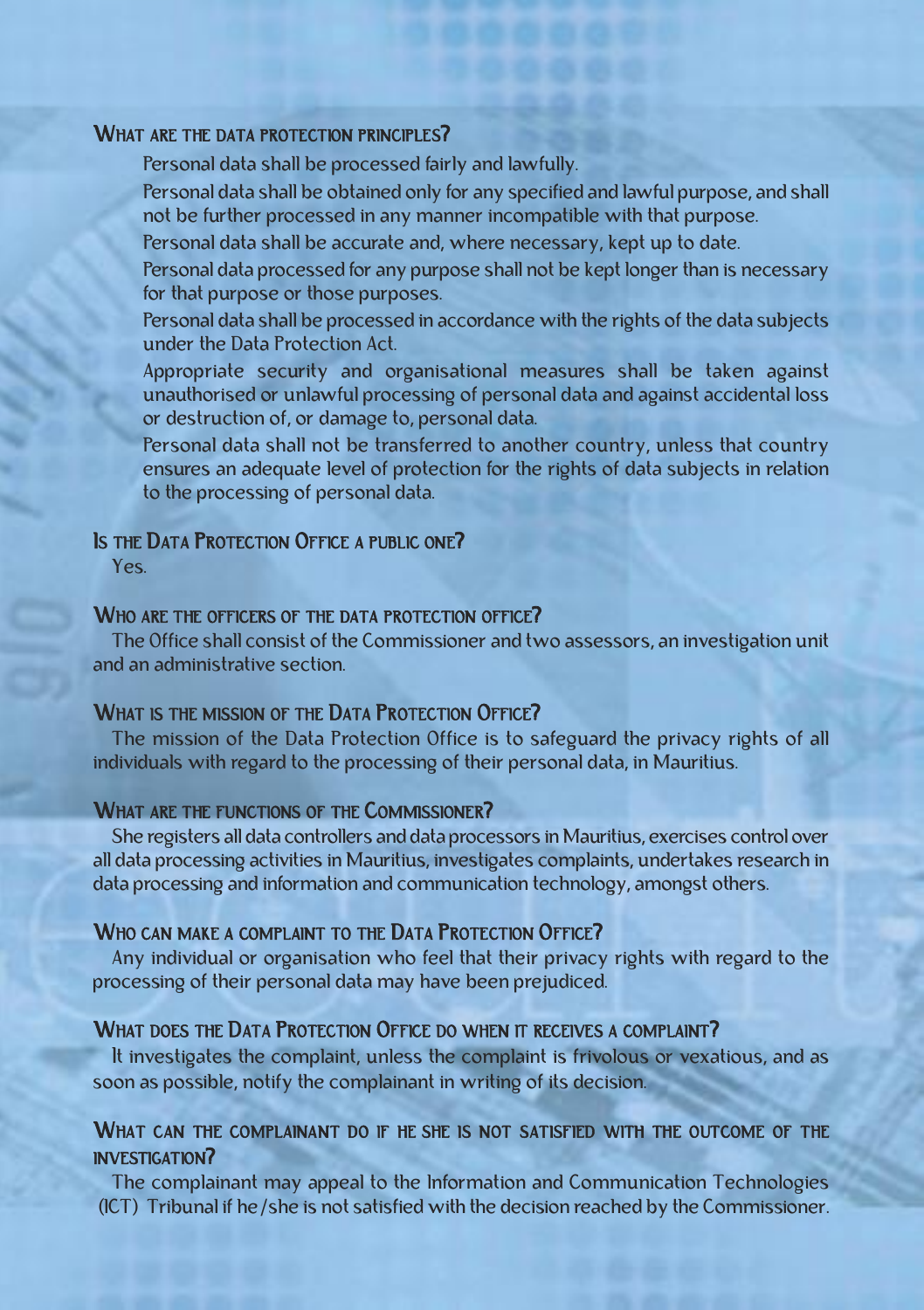#### WHAT ARE THE DATA PROTECTION PRINCIPLES?

Personal data shall be processed fairly and lawfully.

personal data shall be obtained only for any specified and lawful purpose, and shall not be further processed in any manner incompatible with that purpose.

Personal data shall be accurate and, where necessary, kept up to date.

personal data processed for any purpose shall not be kept longer than is necessary for that purpose or those purposes.

personal data shall be processed in accordance with the rights of the data subjects under the Data Protection Act.

Appropriate security and organisational measures shall be taken against unauthorised or unlawful processing of personal data and against accidental loss or destruction of, or damage to, personal data.

personal data shall not be transferred to another country, unless that country ensures an adequate level of protection for the rights of data subjects in relation to the processing of personal data.

# IS THE DATA PROTECTION OFFICE A PUBLIC ONE?

Yes.

#### WHO ARE THE OFFICERS OF THE DATA PROTECTION OFFICE?

the office shall consist of the commissioner and two assessors, an investigation unit and an administrative section.

#### WHAT IS THE MISSION OF THE DATA PROTECTION OFFICE?

The mission of the Data Protection Office is to safeguard the privacy rights of all individuals with regard to the processing of their personal data, in Mauritius.

#### WHAT ARE THE FUNCTIONS OF THE COMMISSIONER?

she registers all data controllers and data processors in mauritius, exercises control over all data processing activities in Mauritius, investigates complaints, undertakes research in data processing and information and communication technology, amongst others.

# WHO CAN MAKE A COMPLAINT TO THE DATA PROTECTION OFFICE?

Any individual or organisation who feel that their privacy rights with regard to the processing of their personal data may have been prejudiced.

#### WHAT DOES THE DATA PROTECTION OFFICE DO WHEN IT RECEIVES A COMPLAINT?

it investigates the complaint, unless the complaint is frivolous or vexatious, and as soon as possible, notify the complainant in writing of its decision.

# WHAT CAN THE COMPLAINANT DO IF HE SHE IS NOT SATISFIED WITH THE OUTCOME OF THE investigAtion?

The complainant may appeal to the Information and Communication Technologies (ICT) Tribunal if he/she is not satisfied with the decision reached by the Commissioner.